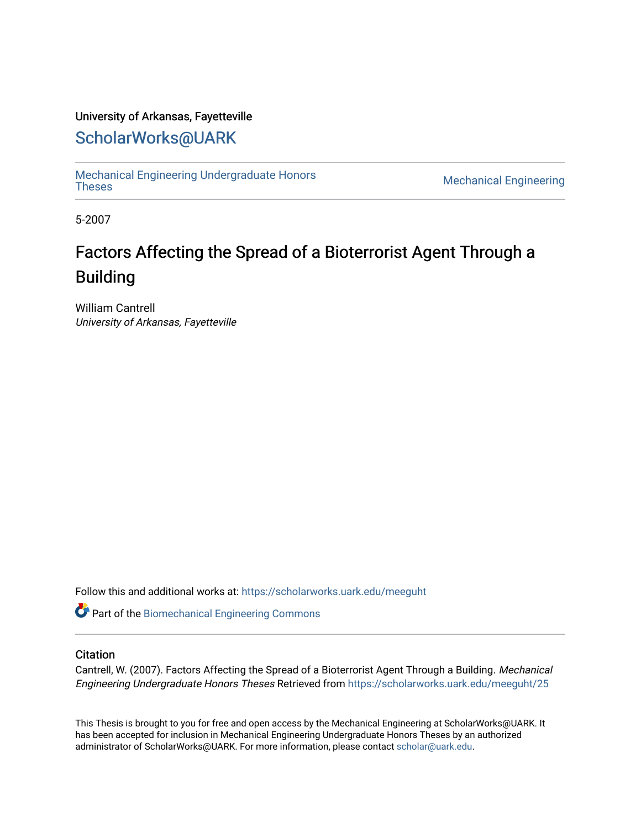### University of Arkansas, Fayetteville

### [ScholarWorks@UARK](https://scholarworks.uark.edu/)

[Mechanical Engineering Undergraduate Honors](https://scholarworks.uark.edu/meeguht)

**Mechanical Engineering** 

5-2007

# Factors Affecting the Spread of a Bioterrorist Agent Through a Building

William Cantrell University of Arkansas, Fayetteville

Follow this and additional works at: [https://scholarworks.uark.edu/meeguht](https://scholarworks.uark.edu/meeguht?utm_source=scholarworks.uark.edu%2Fmeeguht%2F25&utm_medium=PDF&utm_campaign=PDFCoverPages) 

Part of the [Biomechanical Engineering Commons](http://network.bepress.com/hgg/discipline/296?utm_source=scholarworks.uark.edu%2Fmeeguht%2F25&utm_medium=PDF&utm_campaign=PDFCoverPages)

#### **Citation**

Cantrell, W. (2007). Factors Affecting the Spread of a Bioterrorist Agent Through a Building. Mechanical Engineering Undergraduate Honors Theses Retrieved from [https://scholarworks.uark.edu/meeguht/25](https://scholarworks.uark.edu/meeguht/25?utm_source=scholarworks.uark.edu%2Fmeeguht%2F25&utm_medium=PDF&utm_campaign=PDFCoverPages)

This Thesis is brought to you for free and open access by the Mechanical Engineering at ScholarWorks@UARK. It has been accepted for inclusion in Mechanical Engineering Undergraduate Honors Theses by an authorized administrator of ScholarWorks@UARK. For more information, please contact [scholar@uark.edu](mailto:scholar@uark.edu).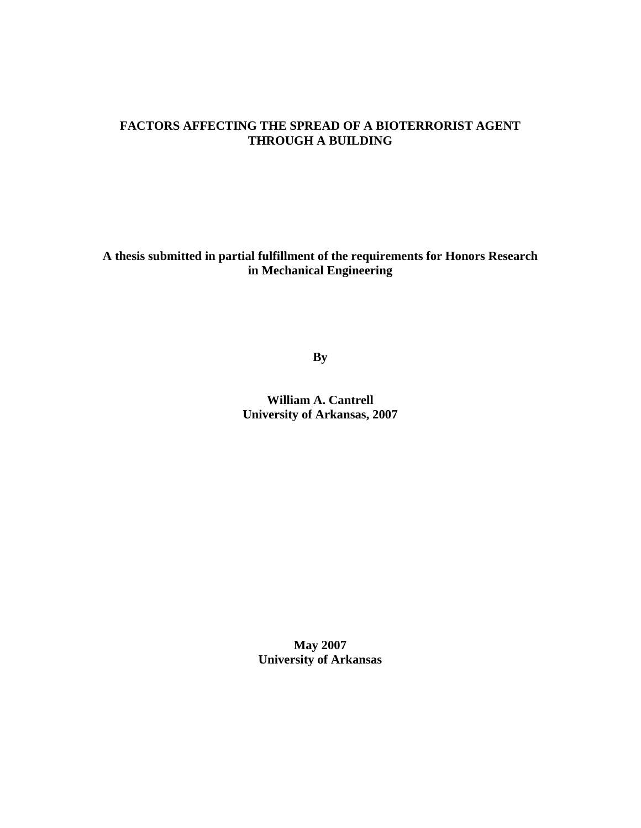#### **FACTORS AFFECTING THE SPREAD OF A BIOTERRORIST AGENT THROUGH A BUILDING**

**A thesis submitted in partial fulfillment of the requirements for Honors Research in Mechanical Engineering** 

**By** 

**William A. Cantrell University of Arkansas, 2007** 

**May 2007 University of Arkansas**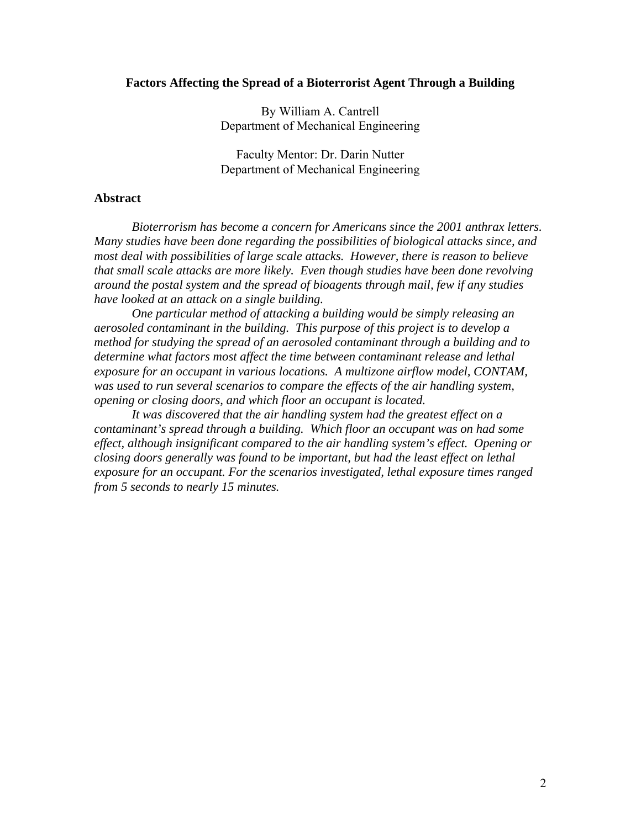#### **Factors Affecting the Spread of a Bioterrorist Agent Through a Building**

By William A. Cantrell Department of Mechanical Engineering

Faculty Mentor: Dr. Darin Nutter Department of Mechanical Engineering

#### **Abstract**

 *Bioterrorism has become a concern for Americans since the 2001 anthrax letters. Many studies have been done regarding the possibilities of biological attacks since, and most deal with possibilities of large scale attacks. However, there is reason to believe that small scale attacks are more likely. Even though studies have been done revolving around the postal system and the spread of bioagents through mail, few if any studies have looked at an attack on a single building.* 

 *One particular method of attacking a building would be simply releasing an aerosoled contaminant in the building. This purpose of this project is to develop a method for studying the spread of an aerosoled contaminant through a building and to determine what factors most affect the time between contaminant release and lethal exposure for an occupant in various locations. A multizone airflow model, CONTAM,*  was used to run several scenarios to compare the effects of the air handling system, *opening or closing doors, and which floor an occupant is located.* 

 *It was discovered that the air handling system had the greatest effect on a contaminant's spread through a building. Which floor an occupant was on had some effect, although insignificant compared to the air handling system's effect. Opening or closing doors generally was found to be important, but had the least effect on lethal exposure for an occupant. For the scenarios investigated, lethal exposure times ranged from 5 seconds to nearly 15 minutes.*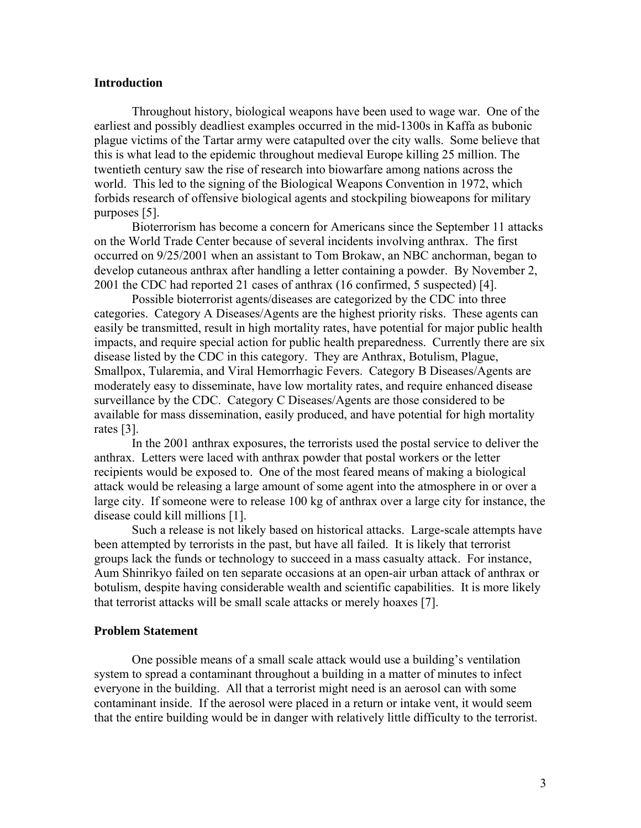#### **Introduction**

 Throughout history, biological weapons have been used to wage war. One of the earliest and possibly deadliest examples occurred in the mid-1300s in Kaffa as bubonic plague victims of the Tartar army were catapulted over the city walls. Some believe that this is what lead to the epidemic throughout medieval Europe killing 25 million. The twentieth century saw the rise of research into biowarfare among nations across the world. This led to the signing of the Biological Weapons Convention in 1972, which forbids research of offensive biological agents and stockpiling bioweapons for military purposes [5].

 Bioterrorism has become a concern for Americans since the September 11 attacks on the World Trade Center because of several incidents involving anthrax. The first occurred on 9/25/2001 when an assistant to Tom Brokaw, an NBC anchorman, began to develop cutaneous anthrax after handling a letter containing a powder. By November 2, 2001 the CDC had reported 21 cases of anthrax (16 confirmed, 5 suspected) [4].

 Possible bioterrorist agents/diseases are categorized by the CDC into three categories. Category A Diseases/Agents are the highest priority risks. These agents can easily be transmitted, result in high mortality rates, have potential for major public health impacts, and require special action for public health preparedness. Currently there are six disease listed by the CDC in this category. They are Anthrax, Botulism, Plague, Smallpox, Tularemia, and Viral Hemorrhagic Fevers. Category B Diseases/Agents are moderately easy to disseminate, have low mortality rates, and require enhanced disease surveillance by the CDC. Category C Diseases/Agents are those considered to be available for mass dissemination, easily produced, and have potential for high mortality rates [3].

 In the 2001 anthrax exposures, the terrorists used the postal service to deliver the anthrax. Letters were laced with anthrax powder that postal workers or the letter recipients would be exposed to. One of the most feared means of making a biological attack would be releasing a large amount of some agent into the atmosphere in or over a large city. If someone were to release 100 kg of anthrax over a large city for instance, the disease could kill millions [1].

 Such a release is not likely based on historical attacks. Large-scale attempts have been attempted by terrorists in the past, but have all failed. It is likely that terrorist groups lack the funds or technology to succeed in a mass casualty attack. For instance, Aum Shinrikyo failed on ten separate occasions at an open-air urban attack of anthrax or botulism, despite having considerable wealth and scientific capabilities. It is more likely that terrorist attacks will be small scale attacks or merely hoaxes [7].

#### **Problem Statement**

 One possible means of a small scale attack would use a building's ventilation system to spread a contaminant throughout a building in a matter of minutes to infect everyone in the building. All that a terrorist might need is an aerosol can with some contaminant inside. If the aerosol were placed in a return or intake vent, it would seem that the entire building would be in danger with relatively little difficulty to the terrorist.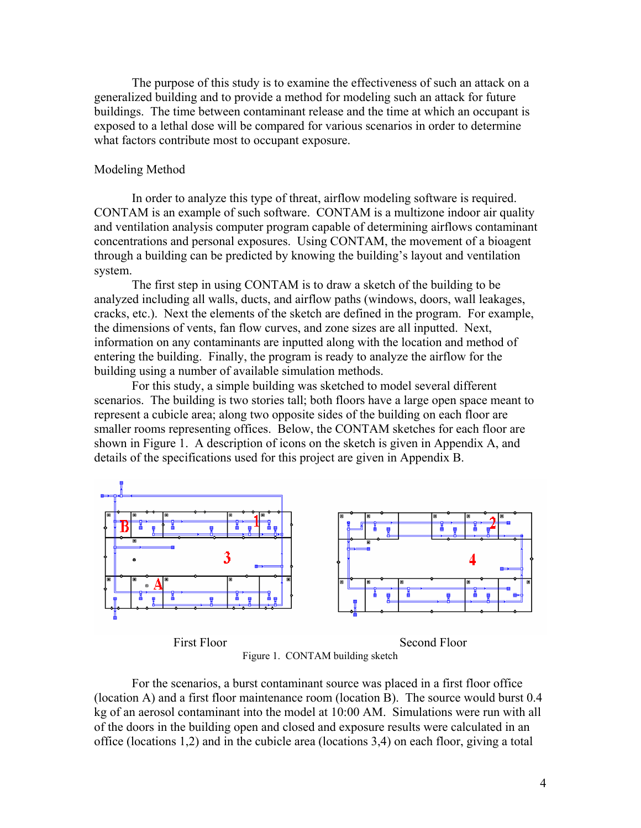The purpose of this study is to examine the effectiveness of such an attack on a generalized building and to provide a method for modeling such an attack for future buildings. The time between contaminant release and the time at which an occupant is exposed to a lethal dose will be compared for various scenarios in order to determine what factors contribute most to occupant exposure.

#### Modeling Method

In order to analyze this type of threat, airflow modeling software is required. CONTAM is an example of such software. CONTAM is a multizone indoor air quality and ventilation analysis computer program capable of determining airflows contaminant concentrations and personal exposures. Using CONTAM, the movement of a bioagent through a building can be predicted by knowing the building's layout and ventilation system.

 The first step in using CONTAM is to draw a sketch of the building to be analyzed including all walls, ducts, and airflow paths (windows, doors, wall leakages, cracks, etc.). Next the elements of the sketch are defined in the program. For example, the dimensions of vents, fan flow curves, and zone sizes are all inputted. Next, information on any contaminants are inputted along with the location and method of entering the building. Finally, the program is ready to analyze the airflow for the building using a number of available simulation methods.

For this study, a simple building was sketched to model several different scenarios. The building is two stories tall; both floors have a large open space meant to represent a cubicle area; along two opposite sides of the building on each floor are smaller rooms representing offices. Below, the CONTAM sketches for each floor are shown in Figure 1. A description of icons on the sketch is given in Appendix A, and details of the specifications used for this project are given in Appendix B.



Figure 1. CONTAM building sketch

 For the scenarios, a burst contaminant source was placed in a first floor office (location A) and a first floor maintenance room (location B). The source would burst 0.4 kg of an aerosol contaminant into the model at 10:00 AM. Simulations were run with all of the doors in the building open and closed and exposure results were calculated in an office (locations 1,2) and in the cubicle area (locations 3,4) on each floor, giving a total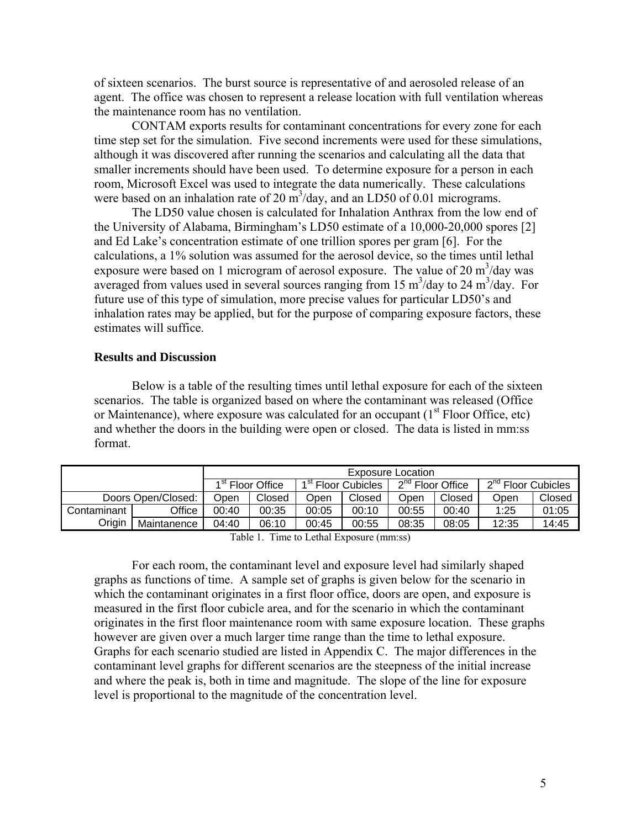of sixteen scenarios. The burst source is representative of and aerosoled release of an agent. The office was chosen to represent a release location with full ventilation whereas the maintenance room has no ventilation.

 CONTAM exports results for contaminant concentrations for every zone for each time step set for the simulation. Five second increments were used for these simulations, although it was discovered after running the scenarios and calculating all the data that smaller increments should have been used. To determine exposure for a person in each room, Microsoft Excel was used to integrate the data numerically. These calculations were based on an inhalation rate of 20  $\text{m}^3/\text{day}$ , and an LD50 of 0.01 micrograms.

 The LD50 value chosen is calculated for Inhalation Anthrax from the low end of the University of Alabama, Birmingham's LD50 estimate of a 10,000-20,000 spores [2] and Ed Lake's concentration estimate of one trillion spores per gram [6]. For the calculations, a 1% solution was assumed for the aerosol device, so the times until lethal exposure were based on 1 microgram of aerosol exposure. The value of 20  $\text{m}^3/\text{day}$  was averaged from values used in several sources ranging from 15  $\text{m}^3/\text{day}$  to 24  $\text{m}^3/\text{day}$ . For future use of this type of simulation, more precise values for particular LD50's and inhalation rates may be applied, but for the purpose of comparing exposure factors, these estimates will suffice.

#### **Results and Discussion**

 Below is a table of the resulting times until lethal exposure for each of the sixteen scenarios. The table is organized based on where the contaminant was released (Office or Maintenance), where exposure was calculated for an occupant  $(1<sup>st</sup>$  Floor Office, etc) and whether the doors in the building were open or closed. The data is listed in mm:ss format.

|             |                    | Exposure Location |                              |                                |        |                              |        |                                |        |
|-------------|--------------------|-------------------|------------------------------|--------------------------------|--------|------------------------------|--------|--------------------------------|--------|
|             |                    |                   | 1 <sup>st</sup> Floor Office | 1 <sup>st</sup> Floor Cubicles |        | 2 <sup>nd</sup> Floor Office |        | 2 <sup>nd</sup> Floor Cubicles |        |
|             | Doors Open/Closed: | <b>Dpen</b>       | Closed                       | Open                           | Closed | Open                         | Closed | Open                           | Closed |
| Contaminant | Office             | 00:40             | 00:35                        | 00:05                          | 00:10  | 00:55                        | 00:40  | 1:25                           | 01:05  |
| Origin      | Maintanence        | 04:40             | 06:10                        | 00:45                          | 00:55  | 08:35                        | 08:05  | 12:35                          | 14:45  |

Table 1. Time to Lethal Exposure (mm:ss)

For each room, the contaminant level and exposure level had similarly shaped graphs as functions of time. A sample set of graphs is given below for the scenario in which the contaminant originates in a first floor office, doors are open, and exposure is measured in the first floor cubicle area, and for the scenario in which the contaminant originates in the first floor maintenance room with same exposure location. These graphs however are given over a much larger time range than the time to lethal exposure. Graphs for each scenario studied are listed in Appendix C. The major differences in the contaminant level graphs for different scenarios are the steepness of the initial increase and where the peak is, both in time and magnitude. The slope of the line for exposure level is proportional to the magnitude of the concentration level.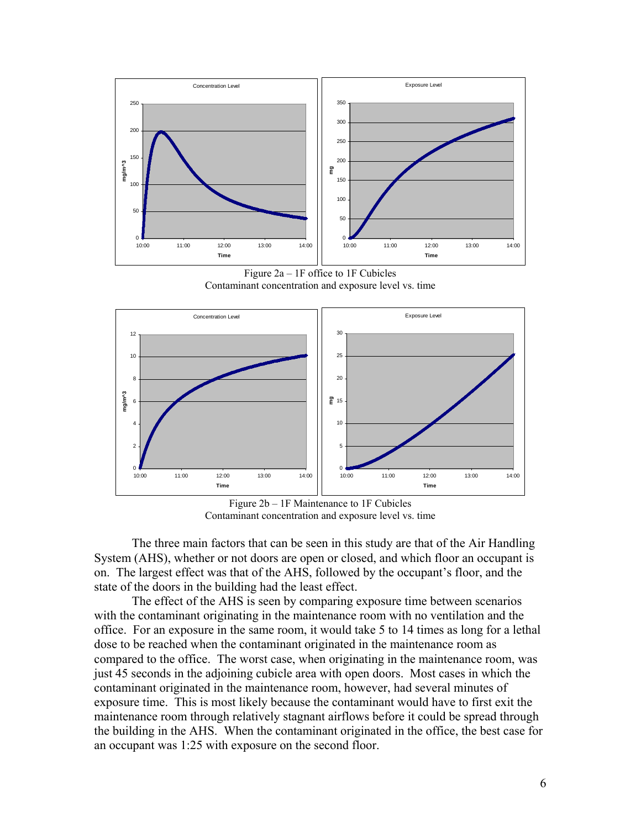

Figure 2a – 1F office to 1F Cubicles Contaminant concentration and exposure level vs. time



Figure 2b – 1F Maintenance to 1F Cubicles Contaminant concentration and exposure level vs. time

The three main factors that can be seen in this study are that of the Air Handling System (AHS), whether or not doors are open or closed, and which floor an occupant is on. The largest effect was that of the AHS, followed by the occupant's floor, and the state of the doors in the building had the least effect.

The effect of the AHS is seen by comparing exposure time between scenarios with the contaminant originating in the maintenance room with no ventilation and the office. For an exposure in the same room, it would take 5 to 14 times as long for a lethal dose to be reached when the contaminant originated in the maintenance room as compared to the office. The worst case, when originating in the maintenance room, was just 45 seconds in the adjoining cubicle area with open doors. Most cases in which the contaminant originated in the maintenance room, however, had several minutes of exposure time. This is most likely because the contaminant would have to first exit the maintenance room through relatively stagnant airflows before it could be spread through the building in the AHS. When the contaminant originated in the office, the best case for an occupant was 1:25 with exposure on the second floor.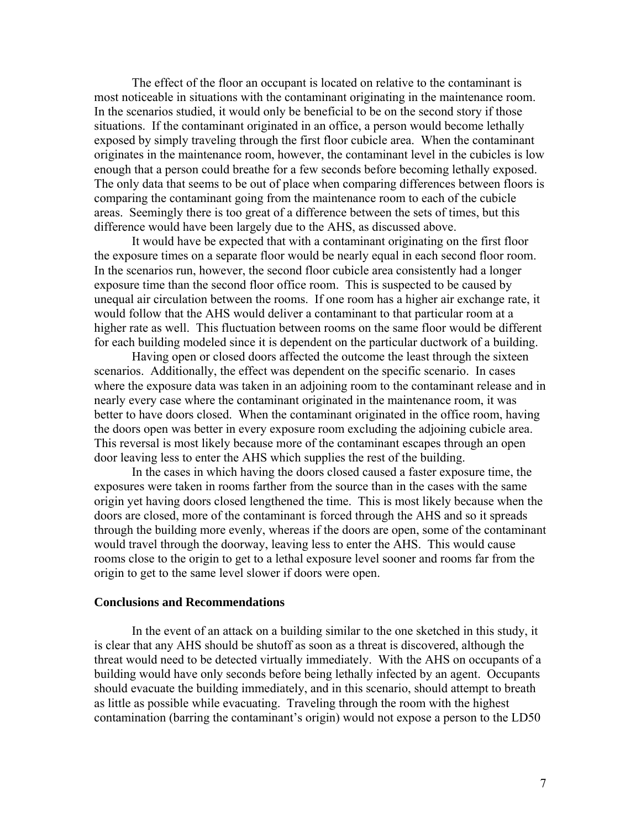The effect of the floor an occupant is located on relative to the contaminant is most noticeable in situations with the contaminant originating in the maintenance room. In the scenarios studied, it would only be beneficial to be on the second story if those situations. If the contaminant originated in an office, a person would become lethally exposed by simply traveling through the first floor cubicle area. When the contaminant originates in the maintenance room, however, the contaminant level in the cubicles is low enough that a person could breathe for a few seconds before becoming lethally exposed. The only data that seems to be out of place when comparing differences between floors is comparing the contaminant going from the maintenance room to each of the cubicle areas. Seemingly there is too great of a difference between the sets of times, but this difference would have been largely due to the AHS, as discussed above.

It would have be expected that with a contaminant originating on the first floor the exposure times on a separate floor would be nearly equal in each second floor room. In the scenarios run, however, the second floor cubicle area consistently had a longer exposure time than the second floor office room. This is suspected to be caused by unequal air circulation between the rooms. If one room has a higher air exchange rate, it would follow that the AHS would deliver a contaminant to that particular room at a higher rate as well. This fluctuation between rooms on the same floor would be different for each building modeled since it is dependent on the particular ductwork of a building.

Having open or closed doors affected the outcome the least through the sixteen scenarios. Additionally, the effect was dependent on the specific scenario. In cases where the exposure data was taken in an adjoining room to the contaminant release and in nearly every case where the contaminant originated in the maintenance room, it was better to have doors closed. When the contaminant originated in the office room, having the doors open was better in every exposure room excluding the adjoining cubicle area. This reversal is most likely because more of the contaminant escapes through an open door leaving less to enter the AHS which supplies the rest of the building.

In the cases in which having the doors closed caused a faster exposure time, the exposures were taken in rooms farther from the source than in the cases with the same origin yet having doors closed lengthened the time. This is most likely because when the doors are closed, more of the contaminant is forced through the AHS and so it spreads through the building more evenly, whereas if the doors are open, some of the contaminant would travel through the doorway, leaving less to enter the AHS. This would cause rooms close to the origin to get to a lethal exposure level sooner and rooms far from the origin to get to the same level slower if doors were open.

#### **Conclusions and Recommendations**

In the event of an attack on a building similar to the one sketched in this study, it is clear that any AHS should be shutoff as soon as a threat is discovered, although the threat would need to be detected virtually immediately. With the AHS on occupants of a building would have only seconds before being lethally infected by an agent. Occupants should evacuate the building immediately, and in this scenario, should attempt to breath as little as possible while evacuating. Traveling through the room with the highest contamination (barring the contaminant's origin) would not expose a person to the LD50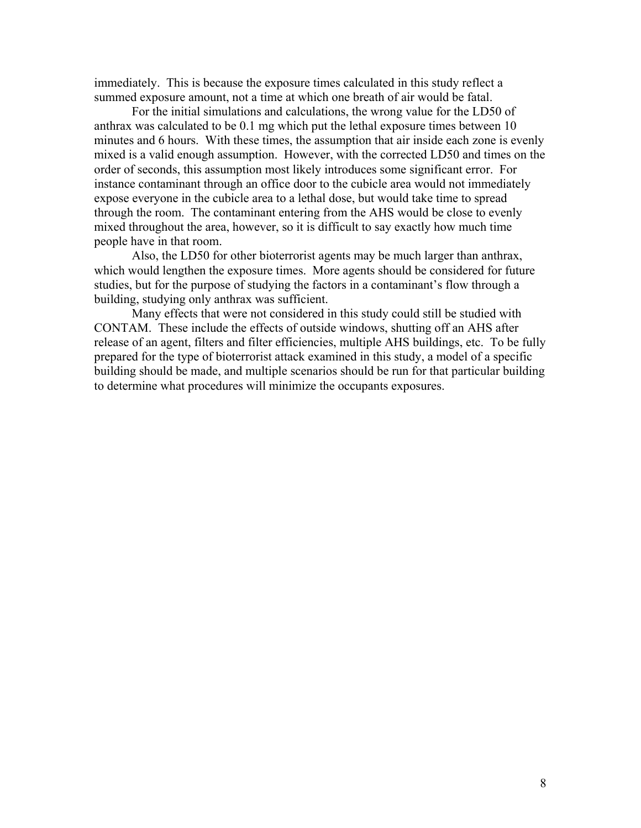immediately. This is because the exposure times calculated in this study reflect a summed exposure amount, not a time at which one breath of air would be fatal.

For the initial simulations and calculations, the wrong value for the LD50 of anthrax was calculated to be 0.1 mg which put the lethal exposure times between 10 minutes and 6 hours. With these times, the assumption that air inside each zone is evenly mixed is a valid enough assumption. However, with the corrected LD50 and times on the order of seconds, this assumption most likely introduces some significant error. For instance contaminant through an office door to the cubicle area would not immediately expose everyone in the cubicle area to a lethal dose, but would take time to spread through the room. The contaminant entering from the AHS would be close to evenly mixed throughout the area, however, so it is difficult to say exactly how much time people have in that room.

Also, the LD50 for other bioterrorist agents may be much larger than anthrax, which would lengthen the exposure times. More agents should be considered for future studies, but for the purpose of studying the factors in a contaminant's flow through a building, studying only anthrax was sufficient.

Many effects that were not considered in this study could still be studied with CONTAM. These include the effects of outside windows, shutting off an AHS after release of an agent, filters and filter efficiencies, multiple AHS buildings, etc. To be fully prepared for the type of bioterrorist attack examined in this study, a model of a specific building should be made, and multiple scenarios should be run for that particular building to determine what procedures will minimize the occupants exposures.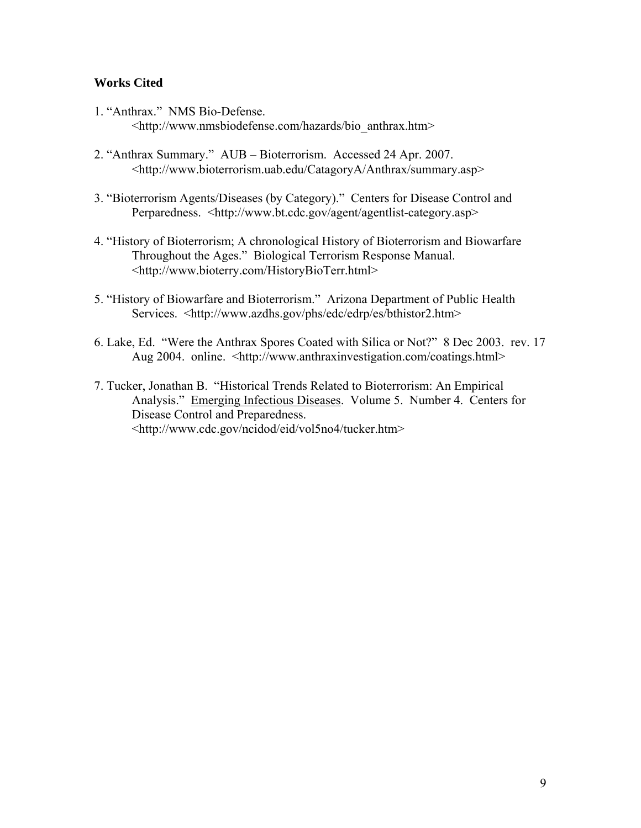### **Works Cited**

- 1. "Anthrax." NMS Bio-Defense. <http://www.nmsbiodefense.com/hazards/bio\_anthrax.htm>
- 2. "Anthrax Summary." AUB Bioterrorism. Accessed 24 Apr. 2007. <http://www.bioterrorism.uab.edu/CatagoryA/Anthrax/summary.asp>
- 3. "Bioterrorism Agents/Diseases (by Category)." Centers for Disease Control and Perparedness. <http://www.bt.cdc.gov/agent/agentlist-category.asp>
- 4. "History of Bioterrorism; A chronological History of Bioterrorism and Biowarfare Throughout the Ages." Biological Terrorism Response Manual. <http://www.bioterry.com/HistoryBioTerr.html>
- 5. "History of Biowarfare and Bioterrorism." Arizona Department of Public Health Services. <http://www.azdhs.gov/phs/edc/edrp/es/bthistor2.htm>
- 6. Lake, Ed. "Were the Anthrax Spores Coated with Silica or Not?" 8 Dec 2003. rev. 17 Aug 2004. online. <http://www.anthraxinvestigation.com/coatings.html>
- 7. Tucker, Jonathan B. "Historical Trends Related to Bioterrorism: An Empirical Analysis." Emerging Infectious Diseases. Volume 5. Number 4. Centers for Disease Control and Preparedness. <http://www.cdc.gov/ncidod/eid/vol5no4/tucker.htm>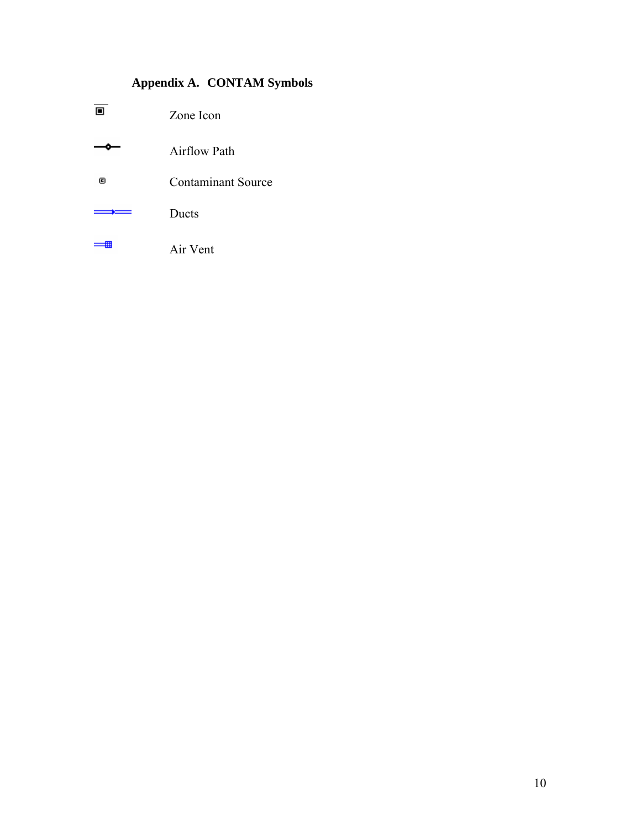### **Appendix A. CONTAM Symbols**

|   | Zone Icon                 |  |
|---|---------------------------|--|
|   | <b>Airflow Path</b>       |  |
| Θ | <b>Contaminant Source</b> |  |
|   | Ducts                     |  |
|   | Air Vent                  |  |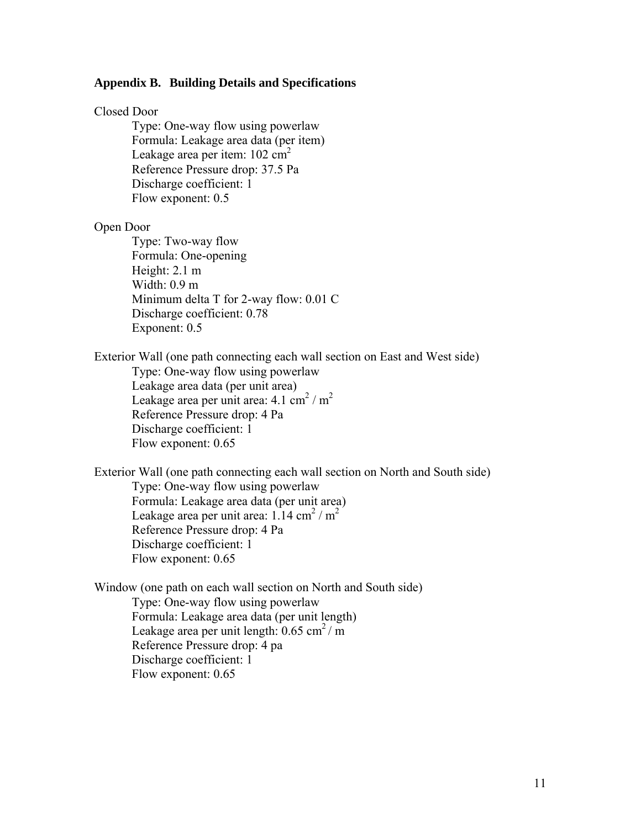#### **Appendix B. Building Details and Specifications**

#### Closed Door

 Type: One-way flow using powerlaw Formula: Leakage area data (per item) Leakage area per item:  $102 \text{ cm}^2$ Reference Pressure drop: 37.5 Pa Discharge coefficient: 1 Flow exponent: 0.5

#### Open Door

 Type: Two-way flow Formula: One-opening Height: 2.1 m Width: 0.9 m Minimum delta T for 2-way flow: 0.01 C Discharge coefficient: 0.78 Exponent: 0.5

Exterior Wall (one path connecting each wall section on East and West side)

 Type: One-way flow using powerlaw Leakage area data (per unit area) Leakage area per unit area:  $4.1 \text{ cm}^2/\text{m}^2$ Reference Pressure drop: 4 Pa Discharge coefficient: 1 Flow exponent: 0.65

Exterior Wall (one path connecting each wall section on North and South side) Type: One-way flow using powerlaw Formula: Leakage area data (per unit area) Leakage area per unit area:  $1.14 \text{ cm}^2/\text{m}^2$ Reference Pressure drop: 4 Pa Discharge coefficient: 1 Flow exponent: 0.65

Window (one path on each wall section on North and South side) Type: One-way flow using powerlaw Formula: Leakage area data (per unit length) Leakage area per unit length:  $0.65$  cm<sup>2</sup>/m Reference Pressure drop: 4 pa Discharge coefficient: 1 Flow exponent: 0.65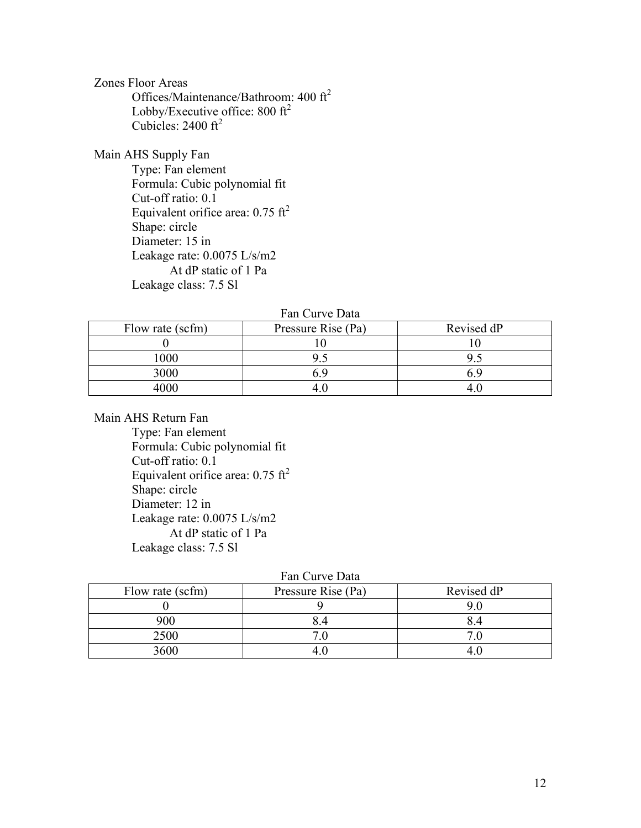Zones Floor Areas Offices/Maintenance/Bathroom: 400 ft2 Lobby/Executive office:  $800 \text{ ft}^2$ Cubicles:  $2400 \text{ ft}^2$ 

Main AHS Supply Fan

 Type: Fan element Formula: Cubic polynomial fit Cut-off ratio: 0.1 Equivalent orifice area:  $0.75 \text{ ft}^2$  Shape: circle Diameter: 15 in Leakage rate: 0.0075 L/s/m2 At dP static of 1 Pa Leakage class: 7.5 Sl

Fan Curve Data

| Flow rate (scfm) | Pressure Rise (Pa) | Revised dP |
|------------------|--------------------|------------|
|                  |                    |            |
| 000              |                    |            |
| 3000             |                    |            |
|                  |                    |            |

Main AHS Return Fan

 Type: Fan element Formula: Cubic polynomial fit Cut-off ratio: 0.1 Equivalent orifice area:  $0.75 \text{ ft}^2$  Shape: circle Diameter: 12 in Leakage rate: 0.0075 L/s/m2 At dP static of 1 Pa Leakage class: 7.5 Sl

|  | Fan Curve Data |  |
|--|----------------|--|
|--|----------------|--|

| Flow rate (scfm) | Pressure Rise (Pa) | Revised dP |  |  |  |
|------------------|--------------------|------------|--|--|--|
|                  |                    |            |  |  |  |
| 900              |                    |            |  |  |  |
| 2500             |                    |            |  |  |  |
| 3600             |                    |            |  |  |  |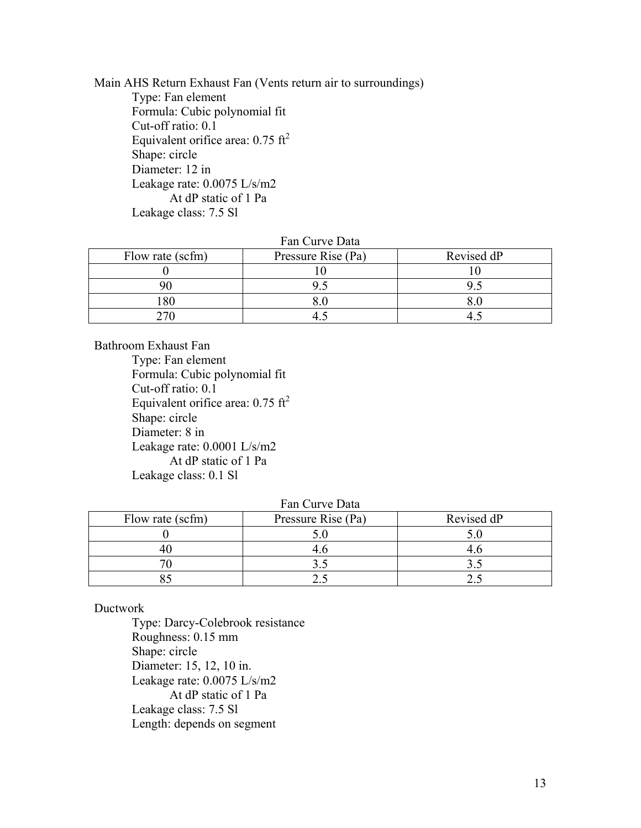Main AHS Return Exhaust Fan (Vents return air to surroundings) Type: Fan element Formula: Cubic polynomial fit Cut-off ratio: 0.1 Equivalent orifice area:  $0.75 \text{ ft}^2$  Shape: circle Diameter: 12 in Leakage rate: 0.0075 L/s/m2 At dP static of 1 Pa Leakage class: 7.5 Sl

#### Fan Curve Data

| Flow rate (scfm) | Pressure Rise (Pa) | Revised dP |
|------------------|--------------------|------------|
|                  |                    |            |
|                  |                    |            |
| 80               |                    |            |
|                  |                    |            |

Bathroom Exhaust Fan

 Type: Fan element Formula: Cubic polynomial fit Cut-off ratio: 0.1 Equivalent orifice area:  $0.75 \text{ ft}^2$  Shape: circle Diameter: 8 in Leakage rate: 0.0001 L/s/m2 At dP static of 1 Pa Leakage class: 0.1 Sl

#### Fan Curve Data

| Flow rate (scfm) | Pressure Rise (Pa) | Revised dP |
|------------------|--------------------|------------|
|                  |                    |            |
|                  |                    |            |
|                  |                    |            |
|                  |                    |            |

#### Ductwork

 Type: Darcy-Colebrook resistance Roughness: 0.15 mm Shape: circle Diameter: 15, 12, 10 in. Leakage rate: 0.0075 L/s/m2 At dP static of 1 Pa Leakage class: 7.5 Sl Length: depends on segment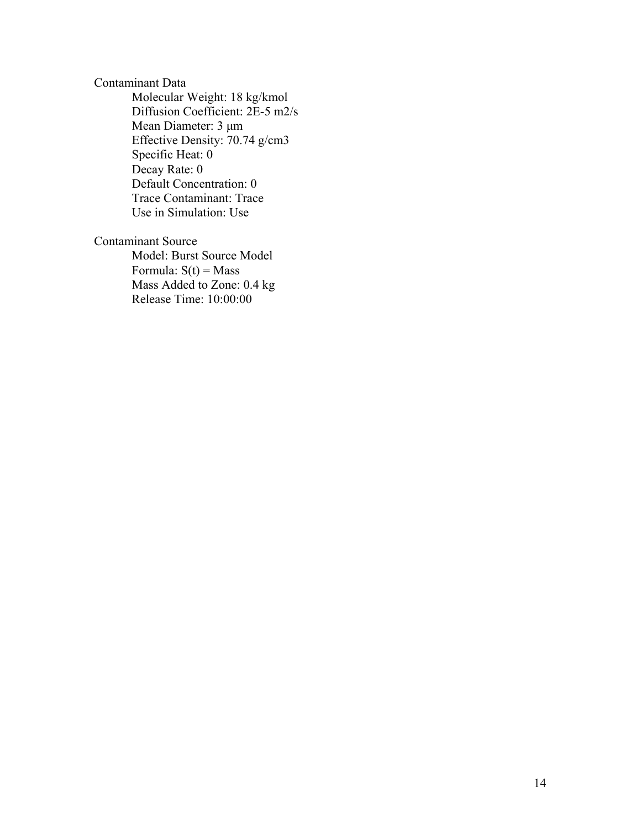### Contaminant Data Molecular Weight: 18 kg/kmol Diffusion Coefficient: 2E-5 m2/s Mean Diameter: 3 μm Effective Density: 70.74 g/cm3 Specific Heat: 0 Decay Rate: 0

Default Concentration: 0 Trace Contaminant: Trace

Use in Simulation: Use

### Contaminant Source

 Model: Burst Source Model Formula:  $S(t) = Mass$  Mass Added to Zone: 0.4 kg Release Time: 10:00:00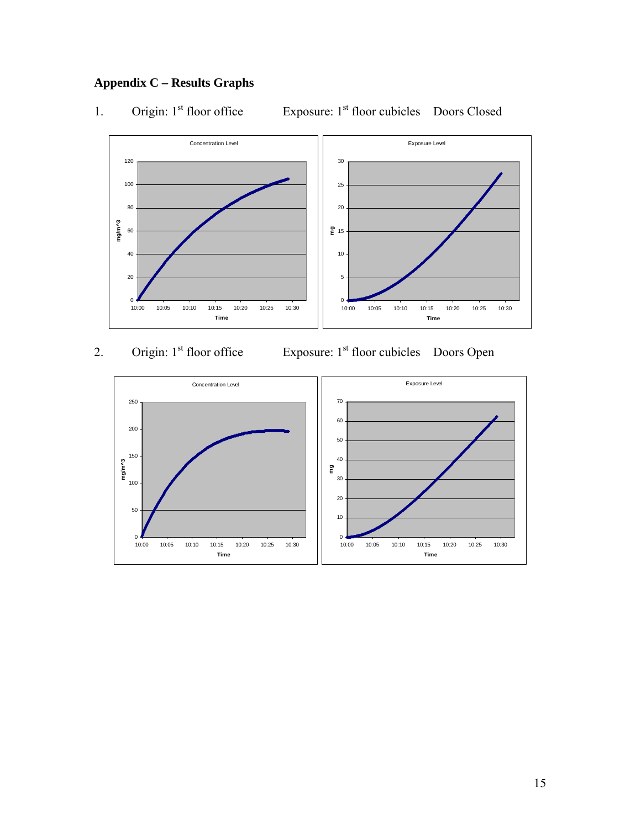### **Appendix C – Results Graphs**

1. Origin: 1<sup>st</sup> floor office Exposure: 1<sup>st</sup> floor cubicles Doors Closed



2. Origin: 1<sup>st</sup> floor office Exposure: 1<sup>st</sup> floor cubicles Doors Open

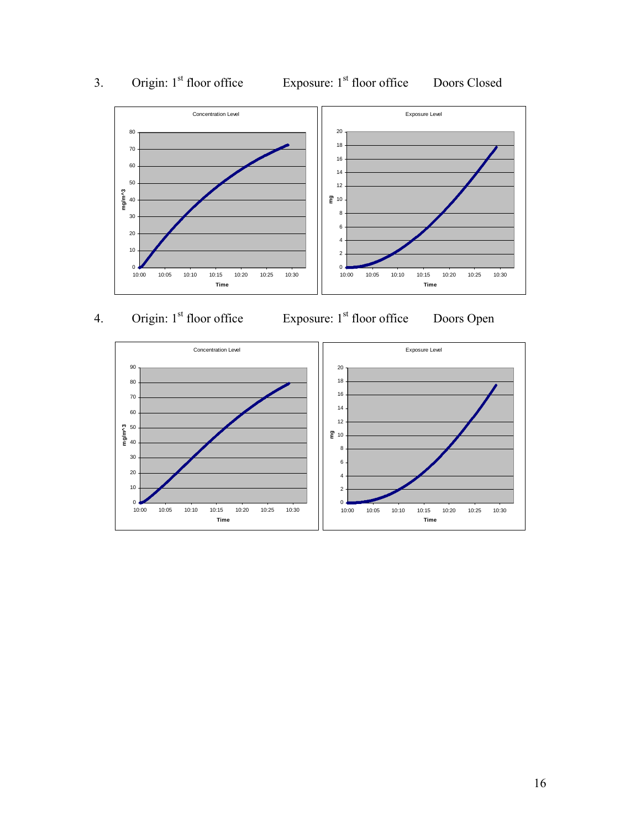

# 3. Origin: 1<sup>st</sup> floor office Exposure: 1<sup>st</sup> floor office Doors Closed

4. Origin: 1<sup>st</sup> floor office Exposure: 1<sup>st</sup> floor office Doors Open



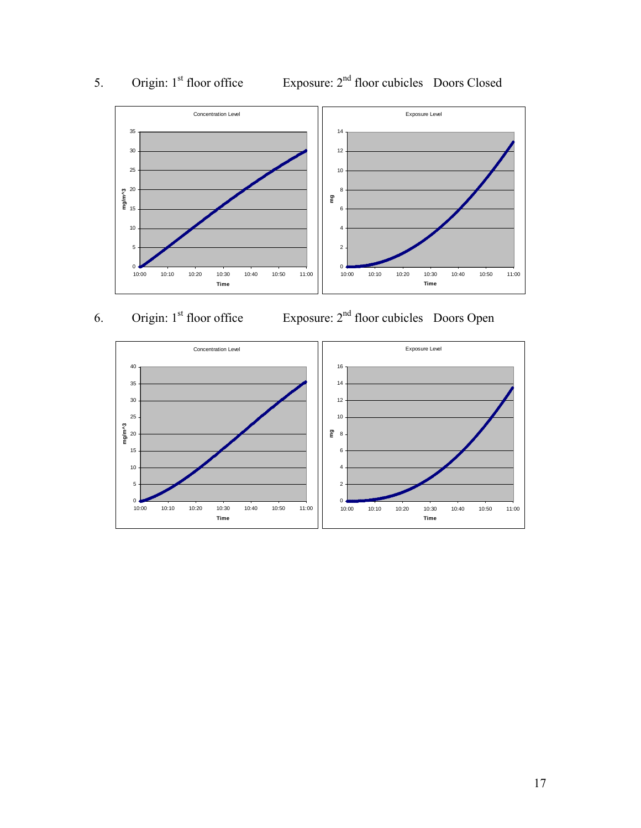

# 5. Origin: 1<sup>st</sup> floor office Exposure: 2<sup>nd</sup> floor cubicles Doors Closed

6. Origin: 1<sup>st</sup> floor office Exposure: 2<sup>nd</sup> floor cubicles Doors Open

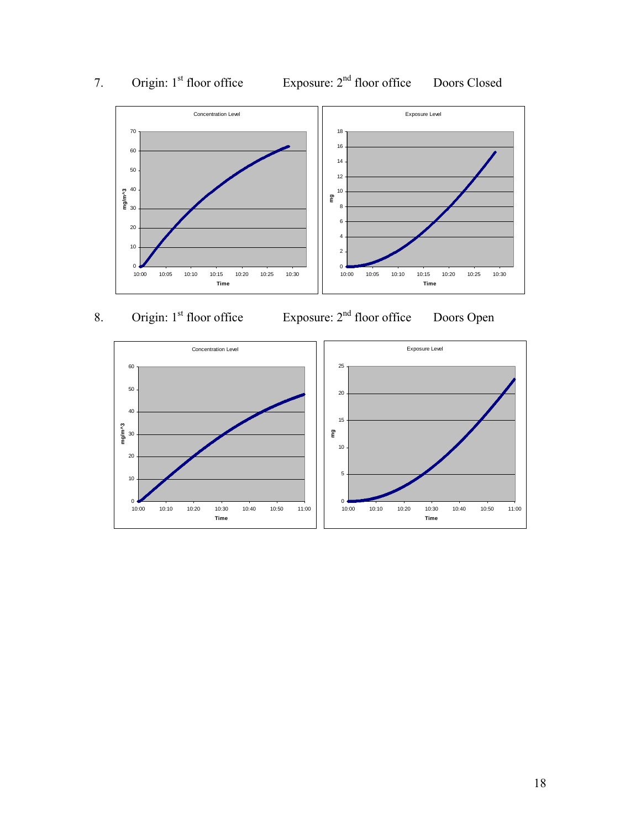

# 7. Origin: 1<sup>st</sup> floor office Exposure: 2<sup>nd</sup> floor office Doors Closed

8. Origin: 1<sup>st</sup> floor office Exposure: 2<sup>nd</sup> floor office Doors Open

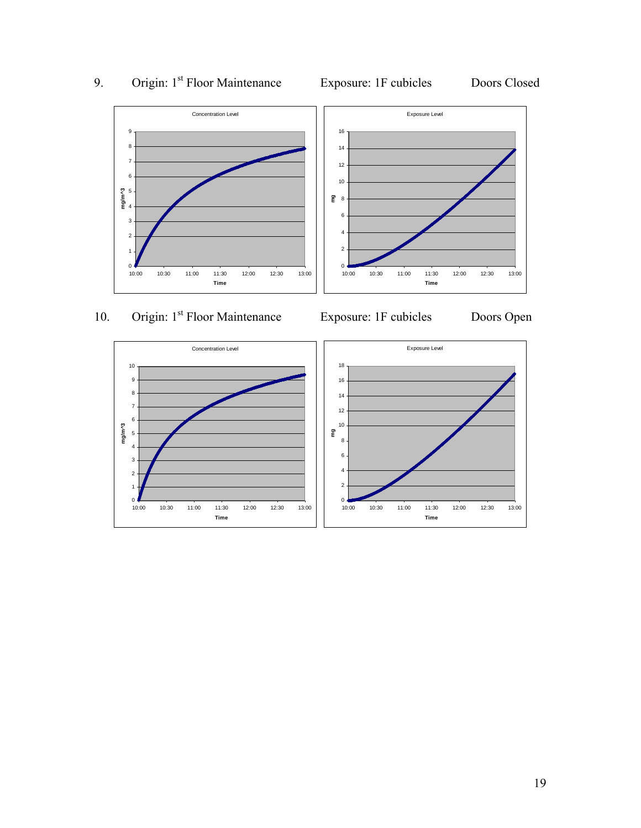

10:00 10:30 11:00 11:30 12:00 12:30 13:00 **Time**

# 9. Origin: 1<sup>st</sup> Floor Maintenance Exposure: 1F cubicles Doors Closed

10:00 10:30 11:00 11:30 12:00 12:30 13:00 **Time**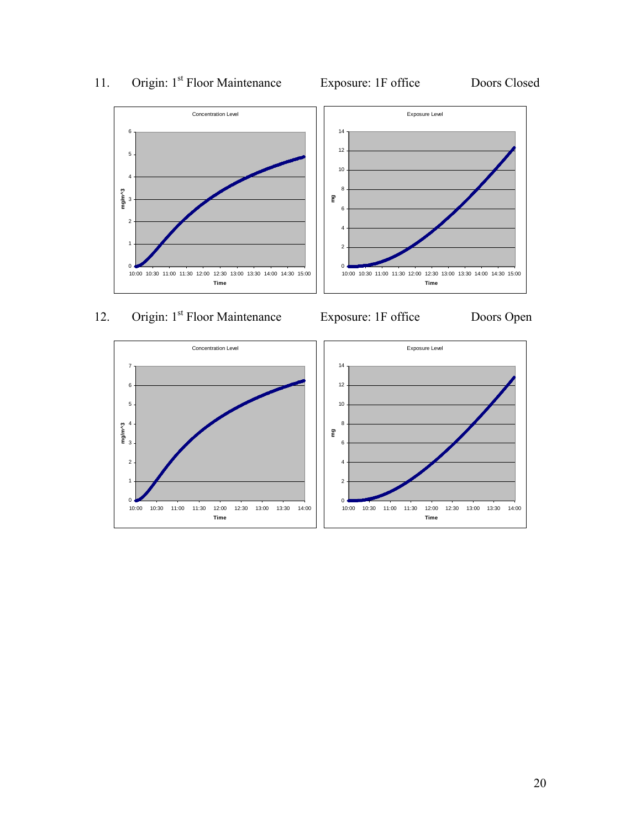

11. Origin: 1<sup>st</sup> Floor Maintenance Exposure: 1F office Doors Closed

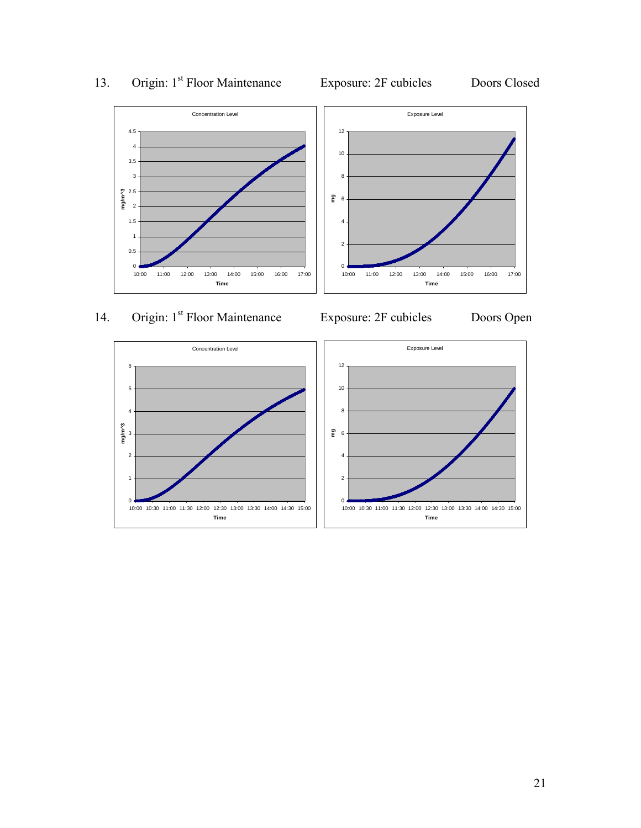



13. Origin: 1<sup>st</sup> Floor Maintenance Exposure: 2F cubicles Doors Closed